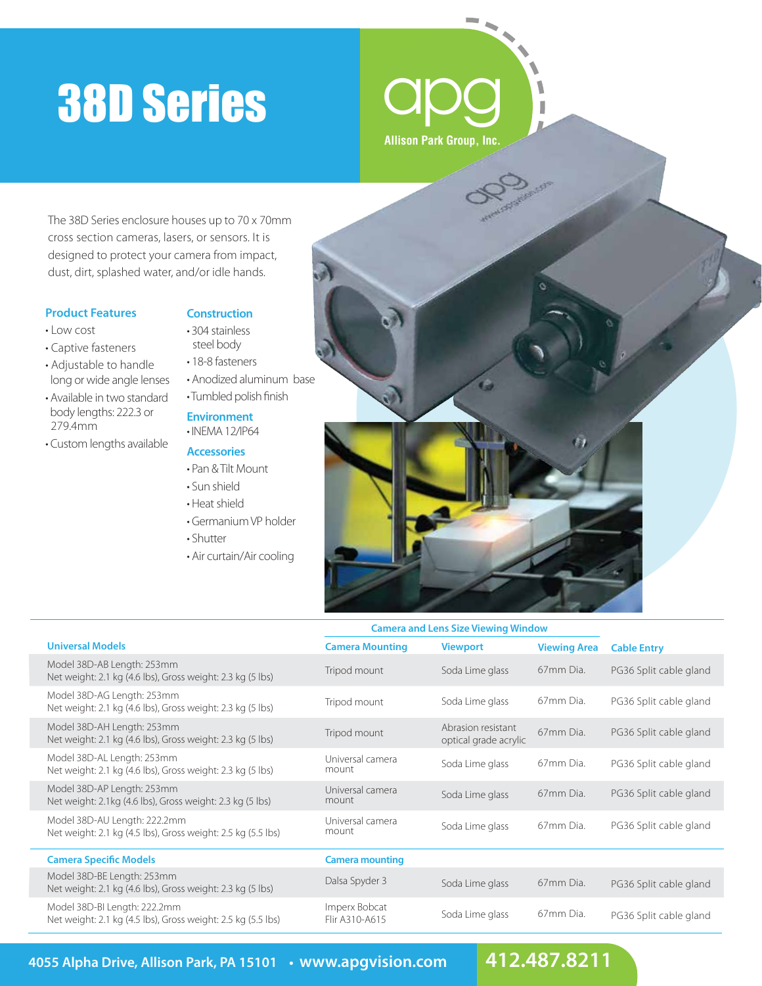# 38D Series



The 38D Series enclosure houses up to 70 x 70mm cross section cameras, lasers, or sensors. It is designed to protect your camera from impact, dust, dirt, splashed water, and/or idle hands.

#### **Product Features**

- Low cost
- Captive fasteners
- Adjustable to handle long or wide angle lenses
- Available in two standard body lengths: 222.3 or 279.4mm
- Custom lengths available

### **Construction**

- 304 stainless steel body
- 18-8 fasteners
- Anodized aluminum base
- Tumbled polish finish

### **Environment**

• INEMA 12/IP64

## **Accessories**

- Pan & Tilt Mount
- Sun shield
- Heat shield
- Germanium VP holder
- Shutter
- Air curtain/Air cooling



|                                                                                              | <b>Camera and Lens Size Viewing Window</b> |                                             |                     |                        |
|----------------------------------------------------------------------------------------------|--------------------------------------------|---------------------------------------------|---------------------|------------------------|
| <b>Universal Models</b>                                                                      | <b>Camera Mounting</b>                     | <b>Viewport</b>                             | <b>Viewing Area</b> | <b>Cable Entry</b>     |
| Model 38D-AB Length: 253mm<br>Net weight: 2.1 kg (4.6 lbs), Gross weight: 2.3 kg (5 lbs)     | Tripod mount                               | Soda Lime glass                             | 67mm Dia.           | PG36 Split cable gland |
| Model 38D-AG Length: 253mm<br>Net weight: 2.1 kg (4.6 lbs), Gross weight: 2.3 kg (5 lbs)     | Tripod mount                               | Soda Lime glass                             | 67mm Dia.           | PG36 Split cable gland |
| Model 38D-AH Length: 253mm<br>Net weight: 2.1 kg (4.6 lbs), Gross weight: 2.3 kg (5 lbs)     | Tripod mount                               | Abrasion resistant<br>optical grade acrylic | 67mm Dia.           | PG36 Split cable gland |
| Model 38D-AL Length: 253mm<br>Net weight: 2.1 kg (4.6 lbs), Gross weight: 2.3 kg (5 lbs)     | Universal camera<br>mount                  | Soda Lime glass                             | 67mm Dia.           | PG36 Split cable gland |
| Model 38D-AP Length: 253mm<br>Net weight: 2.1kg (4.6 lbs), Gross weight: 2.3 kg (5 lbs)      | Universal camera<br>mount                  | Soda Lime glass                             | 67mm Dia.           | PG36 Split cable gland |
| Model 38D-AU Length: 222.2mm<br>Net weight: 2.1 kg (4.5 lbs), Gross weight: 2.5 kg (5.5 lbs) | Universal camera<br>mount                  | Soda Lime glass                             | 67mm Dia.           | PG36 Split cable gland |
| <b>Camera Specific Models</b>                                                                | <b>Camera mounting</b>                     |                                             |                     |                        |
| Model 38D-BE Length: 253mm<br>Net weight: 2.1 kg (4.6 lbs), Gross weight: 2.3 kg (5 lbs)     | Dalsa Spyder 3                             | Soda Lime glass                             | 67mm Dia.           | PG36 Split cable gland |
| Model 38D-BI Length: 222.2mm<br>Net weight: 2.1 kg (4.5 lbs), Gross weight: 2.5 kg (5.5 lbs) | Imperx Bobcat<br>Flir A310-A615            | Soda Lime glass                             | 67mm Dia.           | PG36 Split cable gland |

**4055 Alpha Drive, Allison Park, PA 15101 • www.apgvision.com 412.487.8211**